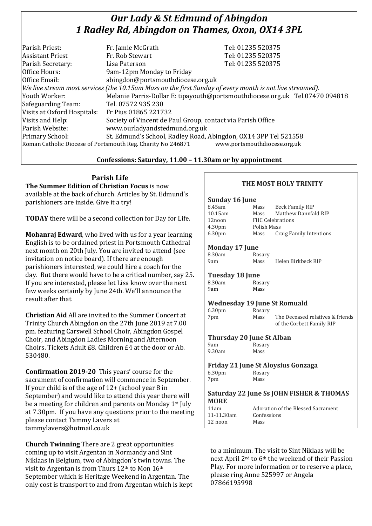# *Our Lady & St Edmund of Abingdon 1 Radley Rd, Abingdon on Thames, Oxon, OX14 3PL*

| Parish Priest:              | Fr. Jamie McGrath                                                                                        | Tel: 01235 520375                                                            |  |  |
|-----------------------------|----------------------------------------------------------------------------------------------------------|------------------------------------------------------------------------------|--|--|
| <b>Assistant Priest</b>     | Fr. Rob Stewart                                                                                          | Tel: 01235 520375                                                            |  |  |
| Parish Secretary:           | Lisa Paterson                                                                                            | Tel: 01235 520375                                                            |  |  |
| Office Hours:               | 9am-12pm Monday to Friday                                                                                |                                                                              |  |  |
| Office Email:               | abingdon@portsmouthdiocese.org.uk                                                                        |                                                                              |  |  |
|                             | We live stream most services (the 10.15am Mass on the first Sunday of every month is not live streamed). |                                                                              |  |  |
| Youth Worker:               |                                                                                                          | Melanie Parris-Dollar E: tipayouth@portsmouthdiocese.org.uk Tel.07470 094818 |  |  |
| Safeguarding Team:          | Tel. 07572 935 230                                                                                       |                                                                              |  |  |
| Visits at Oxford Hospitals: | Fr Pius 01865 221732                                                                                     |                                                                              |  |  |
| Visits and Help:            | Society of Vincent de Paul Group, contact via Parish Office                                              |                                                                              |  |  |
| Parish Website:             | www.ourladyandstedmund.org.uk                                                                            |                                                                              |  |  |
| Primary School:             | St. Edmund's School, Radley Road, Abingdon, OX14 3PP Tel 521558                                          |                                                                              |  |  |
|                             | Roman Catholic Diocese of Portsmouth Reg. Charity No 246871                                              | www.portsmouthdiocese.org.uk                                                 |  |  |
|                             |                                                                                                          |                                                                              |  |  |

# **Confessions: Saturday, 11.00 – 11.30am or by appointment**

**Parish Life**

**The Summer Edition of Christian Focus** is now available at the back of church. Articles by St. Edmund's parishioners are inside. Give it a try!

**TODAY** there will be a second collection for Day for Life.

**Mohanraj Edward**, who lived with us for a year learning English is to be ordained priest in Portsmouth Cathedral next month on 20th July. You are invited to attend (see invitation on notice board). If there are enough parishioners interested, we could hire a coach for the day. But there would have to be a critical number, say 25. If you are interested, please let Lisa know over the next few weeks certainly by June 24th. We'll announce the result after that.

**Christian Aid** All are invited to the Summer Concert at Trinity Church Abingdon on the 27th June 2019 at 7.00 pm. featuring Carswell School Choir, Abingdon Gospel Choir, and Abingdon Ladies Morning and Afternoon Choirs. Tickets Adult £8. Children £4 at the door or Ab. 530480.

**Confirmation 2019-20** This years' course for the sacrament of confirmation will commence in September. If your child is of the age of 12+ (school year 8 in September) and would like to attend this year there will be a meeting for children and parents on Monday 1st July at 7.30pm. If you have any questions prior to the meeting please contact Tammy Lavers at tammylavers@hotmail.co.uk

**Church Twinning** There are 2 great opportunities coming up to visit Argentan in Normandy and Sint Niklaas in Belgium, two of Abingdon`s twin towns. The visit to Argentan is from Thurs 12th to Mon 16th September which is Heritage Weekend in Argentan. The only cost is transport to and from Argentan which is kept

# **THE MOST HOLY TRINITY**

### **Sunday 16 June**

| 8.45am             | Mass                    | Beck Family RIP         |
|--------------------|-------------------------|-------------------------|
| 10.15am            | Mass                    | Matthew Dannfald RIP    |
| 12noon             | <b>FHC Celebrations</b> |                         |
| 4.30 <sub>pm</sub> | Polish Mass             |                         |
| 6.30 <sub>pm</sub> | Mass                    | Craig Family Intentions |

### **Monday 17 June**

| 8.30am |  | Rosary |                    |
|--------|--|--------|--------------------|
| 9am    |  | Mass   | Helen Birkbeck RIP |

#### **Tuesday 18 June** 8.30am Rosary

9am Mass

# **Wednesday 19 June St Romuald**

| 6.30 <sub>pm</sub> | Rosary |                                  |
|--------------------|--------|----------------------------------|
| 7pm                | Mass   | The Deceased relatives & friends |
|                    |        | of the Corbett Family RIP        |

# **Thursday 20 June St Alban**

9am Rosary<br>9.30am Mass  $9.30am$ 

#### **Friday 21 June St Aloysius Gonzaga** 6.30pm Rosary 7pm Mass

### **Saturday 22 June Ss JOHN FISHER & THOMAS MORE**

11-11.30am Confessions 12 noon Mass

11am Adoration of the Blessed Sacrament

to a minimum. The visit to Sint Niklaas will be next April 2nd to 6th the weekend of their Passion Play. For more information or to reserve a place, please ring Anne 525997 or Angela 07866195998